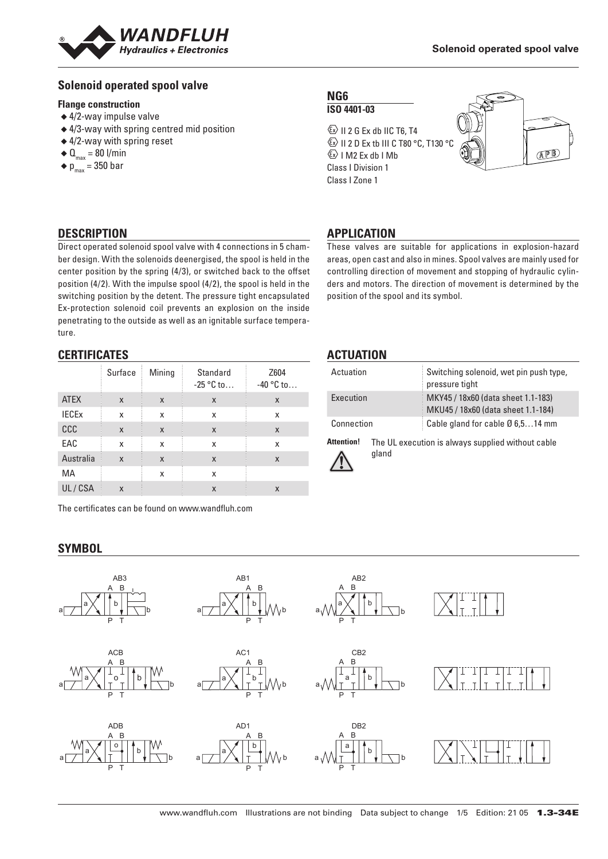

#### **Solenoid operated spool valve**

#### **Flange construction**

- ◆ 4/2-way impulse valve
- ◆ 4/3-way with spring centred mid position
- ◆ 4/2-way with spring reset
- $\triangleleft$  Q<sub>max</sub> = 80 l/min
- $\bullet$  p<sub>max</sub> = 350 bar

## **NG6**

**ISO 4401-03**  $\textcircled{k}$  II 2 G Ex db IIC T6, T4

**ED II 2 D Ex tb III C T80 °C, T130 °C**  $\&$  I M2 Ex db I Mb Class I Division 1 Class I Zone 1



#### **DESCRIPTION**

Direct operated solenoid spool valve with 4 connections in 5 chamber design. With the solenoids deenergised, the spool is held in the center position by the spring (4/3), or switched back to the offset position (4/2). With the impulse spool (4/2), the spool is held in the switching position by the detent. The pressure tight encapsulated Ex-protection solenoid coil prevents an explosion on the inside penetrating to the outside as well as an ignitable surface temperature.

#### **CERTIFICATES**

|              | Surface                   | Mining | Standard<br>$-25 °C$ to   | Z604<br>$-40$ °C to |
|--------------|---------------------------|--------|---------------------------|---------------------|
| <b>ATEX</b>  | X                         | X      | X                         | X                   |
| <b>IECEX</b> | X                         | x      | x                         | X                   |
| CCC          | $\boldsymbol{\mathsf{x}}$ | X      | $\boldsymbol{\mathsf{X}}$ | X                   |
| EAC          | X                         | X      | X                         | X                   |
| Australia    | $\boldsymbol{\mathsf{x}}$ | X      | X                         | X                   |
| МA           |                           | X      | x                         |                     |
| UL/CSA       | X                         |        | X                         | X                   |

The certificates can be found on www.wandfluh.com

#### **SYMBOL**

# These valves are suitable for applications in explosion-hazard

**APPLICATION**

areas, open cast and also in mines. Spool valves are mainly used for controlling direction of movement and stopping of hydraulic cylinders and motors. The direction of movement is determined by the position of the spool and its symbol.

#### **ACTUATION**

| Actuation         |  | Switching solenoid, wet pin push type,<br>pressure tight                 |
|-------------------|--|--------------------------------------------------------------------------|
| Execution         |  | MKY45 / 18x60 (data sheet 1.1-183)<br>MKU45 / 18x60 (data sheet 1.1-184) |
| Connection        |  | Cable gland for cable $\varnothing$ 6,514 mm                             |
| <b>Attention!</b> |  | The UL execution is always supplied without cable                        |



| The UL execution is always supplied without cable |  |
|---------------------------------------------------|--|
| gland                                             |  |

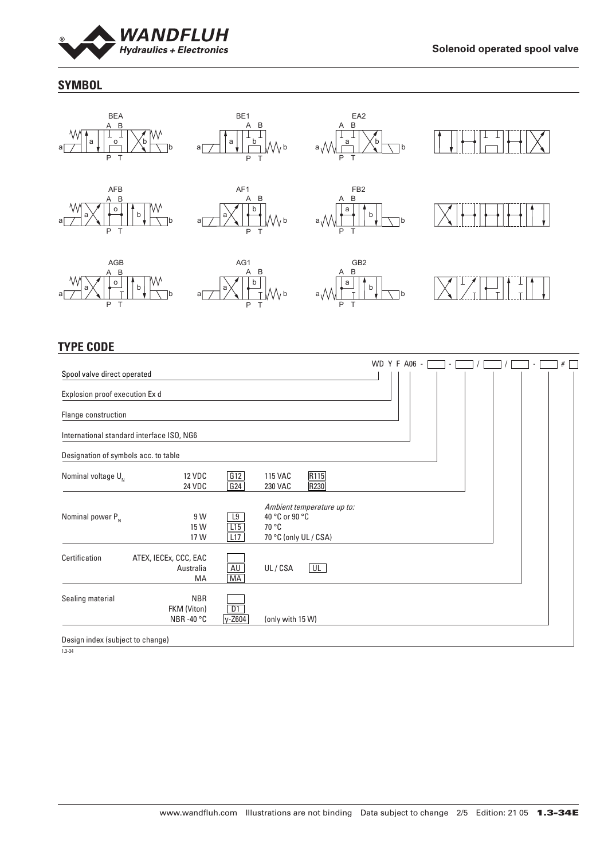

#### **SYMBOL**



### **TYPE CODE**

|                                           |                                          |                  |                                                  |                            | WD Y F A06 - | $\sim$ |  | $\overline{\phantom{a}}$ | # |
|-------------------------------------------|------------------------------------------|------------------|--------------------------------------------------|----------------------------|--------------|--------|--|--------------------------|---|
| Spool valve direct operated               |                                          |                  |                                                  |                            |              |        |  |                          |   |
| Explosion proof execution Ex d            |                                          |                  |                                                  |                            |              |        |  |                          |   |
| Flange construction                       |                                          |                  |                                                  |                            |              |        |  |                          |   |
| International standard interface ISO, NG6 |                                          |                  |                                                  |                            |              |        |  |                          |   |
| Designation of symbols acc. to table      |                                          |                  |                                                  |                            |              |        |  |                          |   |
| Nominal voltage $U_{N}$                   | <b>12 VDC</b><br>24 VDC                  | G12<br>G24       | <b>115 VAC</b><br>230 VAC                        | R115<br>R230               |              |        |  |                          |   |
| Nominal power $P_{N}$                     | 9 W<br>15 W<br>17 W                      | L9<br>L15<br>L17 | 40 °C or 90 °C<br>70 °C<br>70 °C (only UL / CSA) | Ambient temperature up to: |              |        |  |                          |   |
| Certification                             | ATEX, IECEx, CCC, EAC<br>Australia<br>МA | AU<br>MA         | UL/CSA                                           | UL                         |              |        |  |                          |   |
| Sealing material                          | <b>NBR</b><br>FKM (Viton)<br>NBR-40 °C   | D1<br>y-Z604     | (only with 15 W)                                 |                            |              |        |  |                          |   |
| Design index (subject to change)          |                                          |                  |                                                  |                            |              |        |  |                          |   |

1.3-34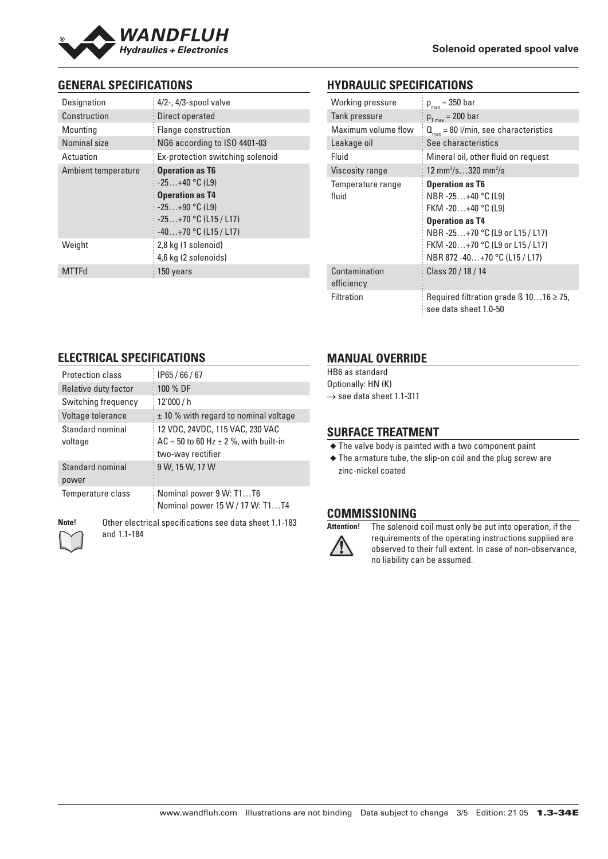

#### **GENERAL SPECIFICATIONS**

| Designation         | $4/2$ -, $4/3$ -spool valve                                                                                                                    |
|---------------------|------------------------------------------------------------------------------------------------------------------------------------------------|
| Construction        | Direct operated                                                                                                                                |
| Mounting            | Flange construction                                                                                                                            |
| Nominal size        | NG6 according to ISO 4401-03                                                                                                                   |
| Actuation           | Ex-protection switching solenoid                                                                                                               |
| Ambient temperature | <b>Operation as T6</b><br>$-25+40$ °C (L9)<br><b>Operation as T4</b><br>$-25+90$ °C (L9)<br>$-25+70$ °C (L15 / L17)<br>$-40+70$ °C (L15 / L17) |
| Weight              | 2,8 kg (1 solenoid)<br>4,6 kg (2 solenoids)                                                                                                    |
| <b>MTTFd</b>        | 150 years                                                                                                                                      |

#### **HYDRAULIC SPECIFICATIONS**

| Working pressure       | $p_{max}$ = 350 bar                                                        |
|------------------------|----------------------------------------------------------------------------|
| Tank pressure          | $p_{T max}$ = 200 bar                                                      |
| Maximum volume flow    | $Q_{\text{max}} = 80$ l/min, see characteristics                           |
| Leakage oil            | See characteristics                                                        |
| Fluid                  | Mineral oil, other fluid on request                                        |
| <b>Viscosity range</b> | 12 mm <sup>2</sup> /s320 mm <sup>2</sup> /s                                |
| Temperature range      | <b>Operation as T6</b>                                                     |
| fluid                  | NBR -25+40 °C (L9)                                                         |
|                        | FKM -20+40 °C (L9)                                                         |
|                        | <b>Operation as T4</b>                                                     |
|                        | NBR-25+70 °C (L9 or L15 / L17)                                             |
|                        | FKM -20+70 °C (L9 or L15 / L17)                                            |
|                        | NBR 872 -40+70 °C (L15 / L17)                                              |
| Contamination          | Class 20 / 18 / 14                                                         |
| efficiency             |                                                                            |
| Filtration             | Required filtration grade $\beta$ 1016 $\geq$ 75,<br>see data sheet 1.0-50 |

#### **ELECTRICAL SPECIFICATIONS**

| <b>Protection class</b>     | IP65/66/67                                                                                          |
|-----------------------------|-----------------------------------------------------------------------------------------------------|
| Relative duty factor        | 100 % DF                                                                                            |
| Switching frequency         | 12'000 / h                                                                                          |
| Voltage tolerance           | ± 10 % with regard to nominal voltage                                                               |
| Standard nominal<br>voltage | 12 VDC, 24VDC, 115 VAC, 230 VAC<br>$AC = 50$ to 60 Hz $\pm$ 2 %, with built-in<br>two-way rectifier |
| Standard nominal<br>power   | 9 W, 15 W, 17 W                                                                                     |
| Temperature class           | Nominal power 9 W: T1T6<br>Nominal power 15 W / 17 W: T1T4                                          |

**Note!** Other electrical specifications see data sheet 1.1-183 and 1.1-184

#### **MANUAL OVERRIDE**

HB6 as standard Optionally: HN (K)  $\rightarrow$  see data sheet 1.1-311

#### **SURFACE TREATMENT**

◆ The valve body is painted with a two component paint

◆ The armature tube, the slip-on coil and the plug screw are zinc-nickel coated

#### **COMMISSIONING**



**Attention!** The solenoid coil must only be put into operation, if the requirements of the operating instructions supplied are observed to their full extent. In case of non-observance, no liability can be assumed.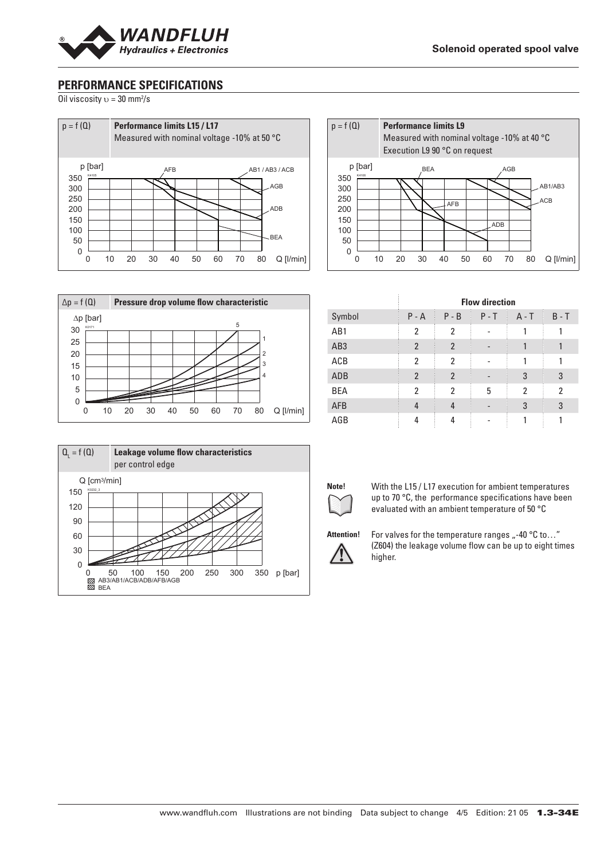

#### **PERFORMANCE SPECIFICATIONS**

Oil viscosity  $v = 30$  mm<sup>2</sup>/s









|                 |                |                | <b>Flow direction</b> |         |         |
|-----------------|----------------|----------------|-----------------------|---------|---------|
| Symbol          | $P - A$        | $P - B$        | $P - T$               | $A - T$ | $B - T$ |
| AB1             | $\overline{2}$ | 2              |                       |         |         |
| AB <sub>3</sub> | $\overline{2}$ | $\mathfrak{p}$ |                       |         |         |
| ACB             | 2              | 2              |                       |         |         |
| ADB             | $\overline{2}$ | $\overline{2}$ |                       | 3       | 3       |
| <b>BEA</b>      | 2              | 2              | 5                     | 2       | 2       |
| <b>AFB</b>      | 4              | 4              |                       | 3       | 3       |
| AGB             | 4              |                |                       |         |         |



**Note!** With the L15 / L17 execution for ambient temperatures up to 70 °C, the performance specifications have been evaluated with an ambient temperature of 50 °C



Attention! For valves for the temperature ranges "-40 °C to..." (Z604) the leakage volume flow can be up to eight times higher.